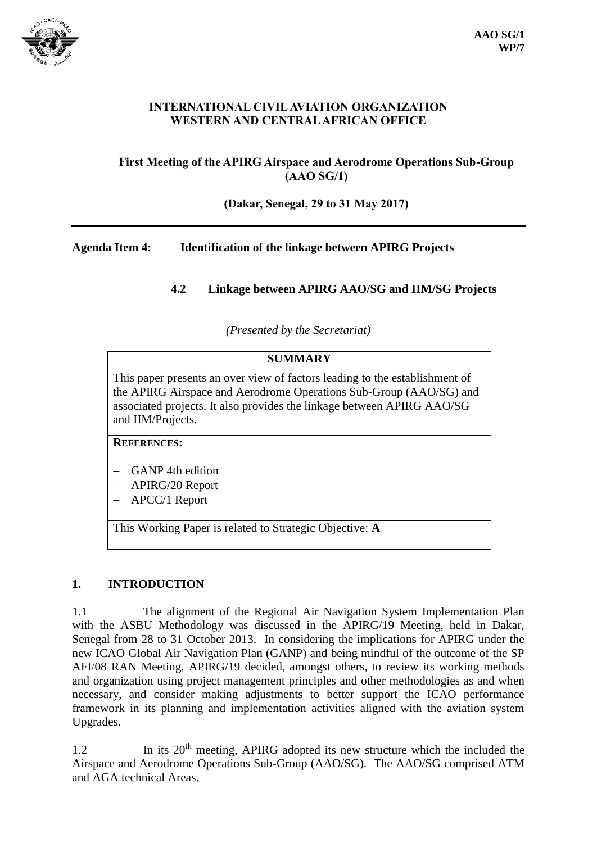

#### **INTERNATIONAL CIVIL AVIATION ORGANIZATION WESTERN AND CENTRAL AFRICAN OFFICE**

## **First Meeting of the APIRG Airspace and Aerodrome Operations Sub-Group (AAO SG/1)**

#### **(Dakar, Senegal, 29 to 31 May 2017)**

#### **Agenda Item 4: Identification of the linkage between APIRG Projects**

## **4.2 Linkage between APIRG AAO/SG and IIM/SG Projects**

*(Presented by the Secretariat)*

This paper presents an over view of factors leading to the establishment of the APIRG Airspace and Aerodrome Operations Sub-Group (AAO/SG) and associated projects. It also provides the linkage between APIRG AAO/SG and IIM/Projects.

#### **REFERENCES:**

- GANP 4th edition
- APIRG/20 Report
- APCC/1 Report

This Working Paper is related to Strategic Objective: **A**

#### **1. INTRODUCTION**

1.1 The alignment of the Regional Air Navigation System Implementation Plan with the ASBU Methodology was discussed in the APIRG/19 Meeting, held in Dakar, Senegal from 28 to 31 October 2013. In considering the implications for APIRG under the new ICAO Global Air Navigation Plan (GANP) and being mindful of the outcome of the SP AFI/08 RAN Meeting, APIRG/19 decided, amongst others, to review its working methods and organization using project management principles and other methodologies as and when necessary, and consider making adjustments to better support the ICAO performance framework in its planning and implementation activities aligned with the aviation system Upgrades.

1.2 In its 20<sup>th</sup> meeting, APIRG adopted its new structure which the included the Airspace and Aerodrome Operations Sub-Group (AAO/SG). The AAO/SG comprised ATM and AGA technical Areas.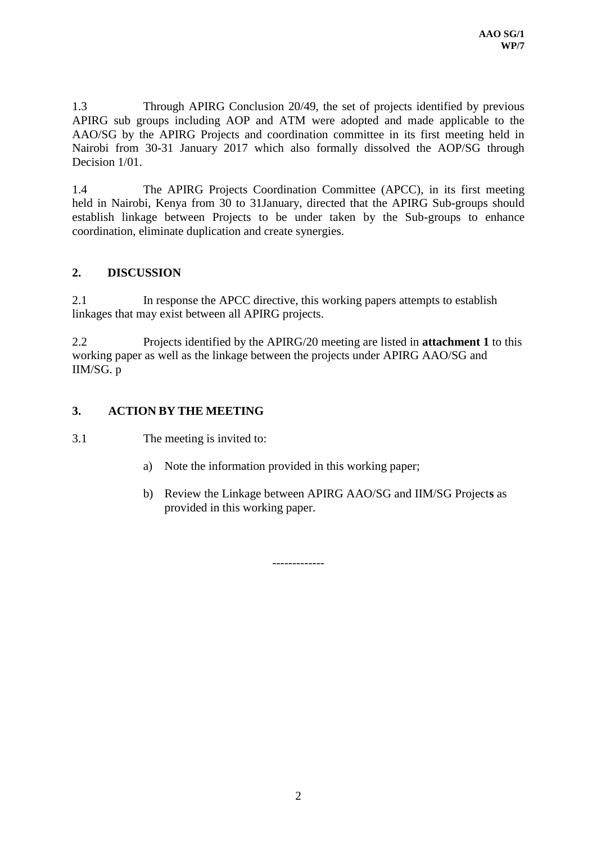1.3 Through APIRG Conclusion 20/49, the set of projects identified by previous APIRG sub groups including AOP and ATM were adopted and made applicable to the AAO/SG by the APIRG Projects and coordination committee in its first meeting held in Nairobi from 30-31 January 2017 which also formally dissolved the AOP/SG through Decision  $1/01$ .

1.4 The APIRG Projects Coordination Committee (APCC), in its first meeting held in Nairobi, Kenya from 30 to 31January, directed that the APIRG Sub-groups should establish linkage between Projects to be under taken by the Sub-groups to enhance coordination, eliminate duplication and create synergies.

## **2. DISCUSSION**

2.1 In response the APCC directive, this working papers attempts to establish linkages that may exist between all APIRG projects.

2.2 Projects identified by the APIRG/20 meeting are listed in **attachment 1** to this working paper as well as the linkage between the projects under APIRG AAO/SG and IIM/SG. p

## **3. ACTION BY THE MEETING**

3.1 The meeting is invited to:

- a) Note the information provided in this working paper;
- b) Review the Linkage between APIRG AAO/SG and IIM/SG Project**s** as provided in this working paper.

-------------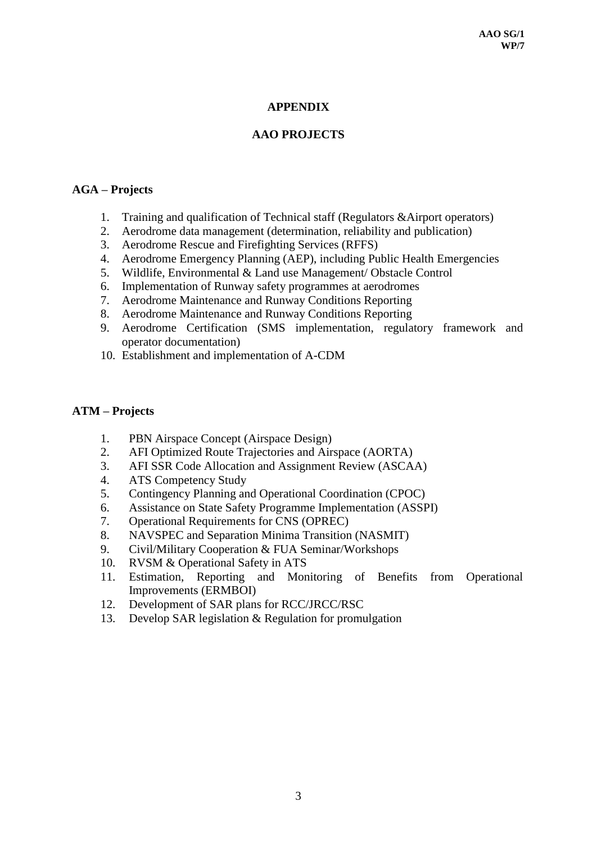## **APPENDIX**

## **AAO PROJECTS**

#### **AGA – Projects**

- 1. Training and qualification of Technical staff (Regulators &Airport operators)
- 2. Aerodrome data management (determination, reliability and publication)
- 3. Aerodrome Rescue and Firefighting Services (RFFS)
- 4. Aerodrome Emergency Planning (AEP), including Public Health Emergencies
- 5. Wildlife, Environmental & Land use Management/ Obstacle Control
- 6. Implementation of Runway safety programmes at aerodromes
- 7. Aerodrome Maintenance and Runway Conditions Reporting
- 8. Aerodrome Maintenance and Runway Conditions Reporting
- 9. Aerodrome Certification (SMS implementation, regulatory framework and operator documentation)
- 10. Establishment and implementation of A-CDM

#### **ATM – Projects**

- 1. PBN Airspace Concept (Airspace Design)
- 2. AFI Optimized Route Trajectories and Airspace (AORTA)
- 3. AFI SSR Code Allocation and Assignment Review (ASCAA)
- 4. ATS Competency Study
- 5. Contingency Planning and Operational Coordination (CPOC)
- 6. Assistance on State Safety Programme Implementation (ASSPI)
- 7. Operational Requirements for CNS (OPREC)
- 8. NAVSPEC and Separation Minima Transition (NASMIT)
- 9. Civil/Military Cooperation & FUA Seminar/Workshops
- 10. RVSM & Operational Safety in ATS
- 11. Estimation, Reporting and Monitoring of Benefits from Operational Improvements (ERMBOI)
- 12. Development of SAR plans for RCC/JRCC/RSC
- 13. Develop SAR legislation & Regulation for promulgation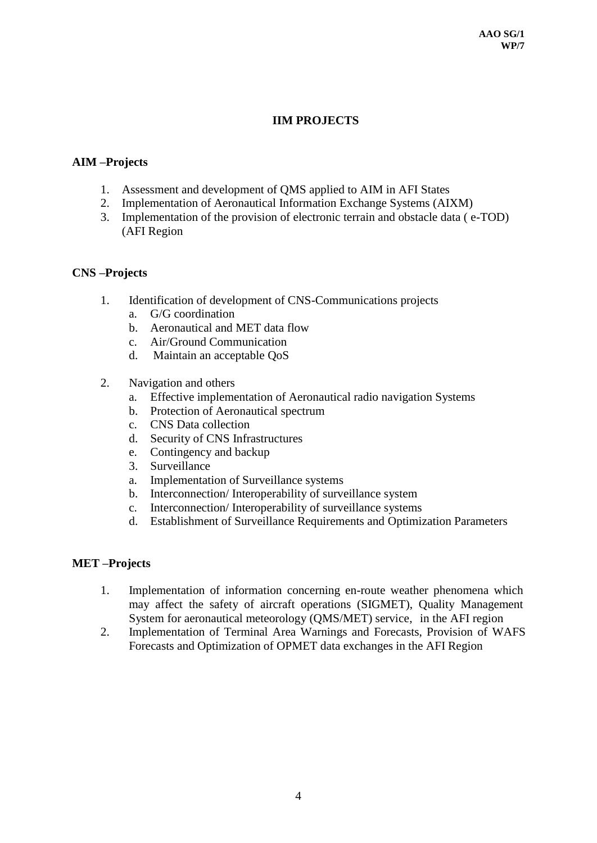## **IIM PROJECTS**

## **AIM –Projects**

- 1. Assessment and development of QMS applied to AIM in AFI States
- 2. Implementation of Aeronautical Information Exchange Systems (AIXM)
- 3. Implementation of the provision of electronic terrain and obstacle data ( e-TOD) (AFI Region

#### **CNS –Projects**

- 1. Identification of development of CNS-Communications projects
	- a. G/G coordination
	- b. Aeronautical and MET data flow
	- c. Air/Ground Communication
	- d. Maintain an acceptable QoS
- 2. Navigation and others
	- a. Effective implementation of Aeronautical radio navigation Systems
	- b. Protection of Aeronautical spectrum
	- c. CNS Data collection
	- d. Security of CNS Infrastructures
	- e. Contingency and backup
	- 3. Surveillance
	- a. Implementation of Surveillance systems
	- b. Interconnection/ Interoperability of surveillance system
	- c. Interconnection/ Interoperability of surveillance systems
	- d. Establishment of Surveillance Requirements and Optimization Parameters

#### **MET –Projects**

- 1. Implementation of information concerning en-route weather phenomena which may affect the safety of aircraft operations (SIGMET), Quality Management System for aeronautical meteorology (QMS/MET) service, in the AFI region
- 2. Implementation of Terminal Area Warnings and Forecasts, Provision of WAFS Forecasts and Optimization of OPMET data exchanges in the AFI Region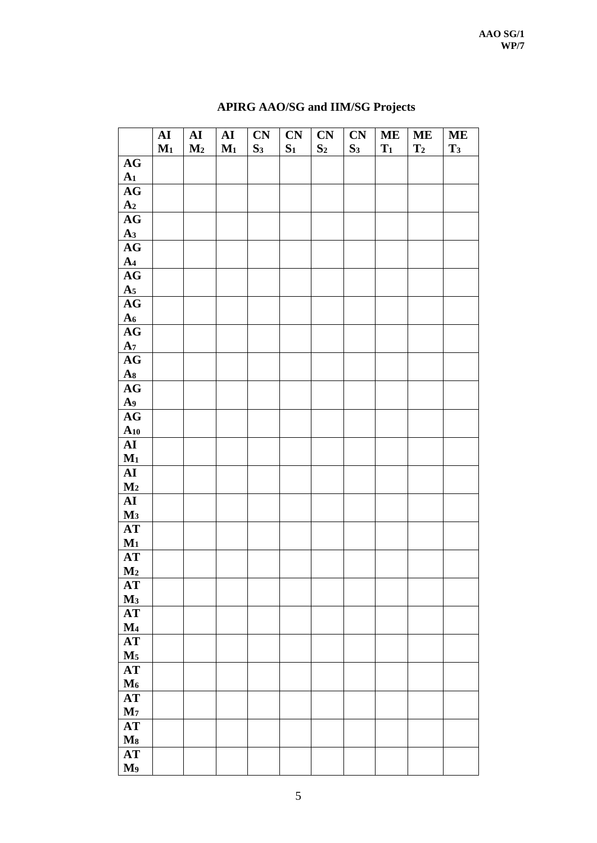|                            | ${\bf AI}$ | ${\bf AI}$     | ${\bf AI}$ | CN             | CN    | CN             | CN             | <b>ME</b> | <b>ME</b>      | <b>ME</b>      |
|----------------------------|------------|----------------|------------|----------------|-------|----------------|----------------|-----------|----------------|----------------|
|                            | $M_1$      | M <sub>2</sub> | $M_1$      | S <sub>3</sub> | $S_1$ | S <sub>2</sub> | S <sub>3</sub> | $T_1$     | T <sub>2</sub> | T <sub>3</sub> |
| AG                         |            |                |            |                |       |                |                |           |                |                |
| A <sub>1</sub>             |            |                |            |                |       |                |                |           |                |                |
| $\mathbf{A}\mathbf{G}$     |            |                |            |                |       |                |                |           |                |                |
| A <sub>2</sub>             |            |                |            |                |       |                |                |           |                |                |
| $\mathbf{A}\mathbf{G}$     |            |                |            |                |       |                |                |           |                |                |
| A <sub>3</sub>             |            |                |            |                |       |                |                |           |                |                |
| AG                         |            |                |            |                |       |                |                |           |                |                |
| A <sub>4</sub>             |            |                |            |                |       |                |                |           |                |                |
| $\mathbf{A}\mathbf{G}$     |            |                |            |                |       |                |                |           |                |                |
| A <sub>5</sub>             |            |                |            |                |       |                |                |           |                |                |
| $\mathbf{A}\mathbf{G}$     |            |                |            |                |       |                |                |           |                |                |
| A <sub>6</sub>             |            |                |            |                |       |                |                |           |                |                |
| $\mathbf{A}\mathbf{G}$     |            |                |            |                |       |                |                |           |                |                |
| A <sub>7</sub>             |            |                |            |                |       |                |                |           |                |                |
| AG                         |            |                |            |                |       |                |                |           |                |                |
| As                         |            |                |            |                |       |                |                |           |                |                |
| $\mathbf{A}\mathbf{G}$     |            |                |            |                |       |                |                |           |                |                |
| A <sub>9</sub>             |            |                |            |                |       |                |                |           |                |                |
| AG                         |            |                |            |                |       |                |                |           |                |                |
| $A_{10}$<br>${\bf AI}$     |            |                |            |                |       |                |                |           |                |                |
| $M_1$                      |            |                |            |                |       |                |                |           |                |                |
| ${\bf AI}$                 |            |                |            |                |       |                |                |           |                |                |
| $\mathbf{M} _2$            |            |                |            |                |       |                |                |           |                |                |
| ${\bf AI}$                 |            |                |            |                |       |                |                |           |                |                |
| $\mathbf{M}$ 3             |            |                |            |                |       |                |                |           |                |                |
| $\bf AT$                   |            |                |            |                |       |                |                |           |                |                |
| $M_1$                      |            |                |            |                |       |                |                |           |                |                |
| AT                         |            |                |            |                |       |                |                |           |                |                |
| M <sub>2</sub>             |            |                |            |                |       |                |                |           |                |                |
| $\bf AT$                   |            |                |            |                |       |                |                |           |                |                |
| $M_3$                      |            |                |            |                |       |                |                |           |                |                |
| $\bf AT$                   |            |                |            |                |       |                |                |           |                |                |
| $\mathbf{M}$ 4             |            |                |            |                |       |                |                |           |                |                |
| $\boldsymbol{\mathrm{AT}}$ |            |                |            |                |       |                |                |           |                |                |
| $\mathbf{M}_5$             |            |                |            |                |       |                |                |           |                |                |
| $\boldsymbol{\mathrm{AT}}$ |            |                |            |                |       |                |                |           |                |                |
| $M_6$                      |            |                |            |                |       |                |                |           |                |                |
| $\bf AT$                   |            |                |            |                |       |                |                |           |                |                |
| $\mathbf{M}_7$             |            |                |            |                |       |                |                |           |                |                |
| $\boldsymbol{\mathrm{AT}}$ |            |                |            |                |       |                |                |           |                |                |
| $\mathbf{Ms}$              |            |                |            |                |       |                |                |           |                |                |
| $\bf AT$                   |            |                |            |                |       |                |                |           |                |                |
| M <sub>9</sub>             |            |                |            |                |       |                |                |           |                |                |

# **APIRG AAO/SG and IIM/SG Projects**